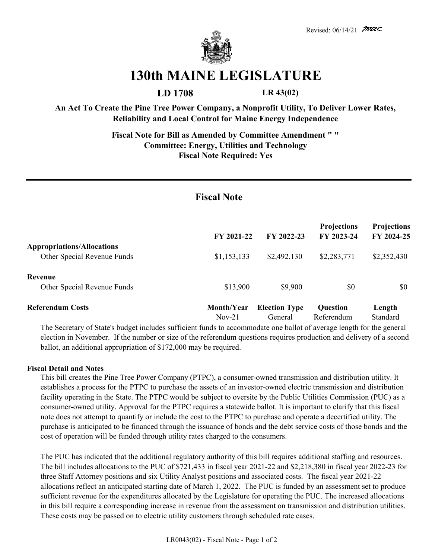

## **130th MAINE LEGISLATURE**

**LD 1708 LR 43(02)**

Nov-21 General Referendum Standard

**An Act To Create the Pine Tree Power Company, a Nonprofit Utility, To Deliver Lower Rates, Reliability and Local Control for Maine Energy Independence**

> **Fiscal Note for Bill as Amended by Committee Amendment " " Committee: Energy, Utilities and Technology Fiscal Note Required: Yes**

## **Fiscal Note**

|                                                                  | FY 2021-22  | FY 2022-23           | <b>Projections</b><br>FY 2023-24 | <b>Projections</b><br>FY 2024-25 |
|------------------------------------------------------------------|-------------|----------------------|----------------------------------|----------------------------------|
| <b>Appropriations/Allocations</b><br>Other Special Revenue Funds | \$1,153,133 | \$2,492,130          | \$2,283,771                      | \$2,352,430                      |
| Revenue<br>Other Special Revenue Funds                           | \$13,900    | \$9,900              | \$0                              | \$0                              |
| <b>Referendum Costs</b>                                          | Month/Year  | <b>Election Type</b> | <b>Question</b>                  | Length                           |

The Secretary of State's budget includes sufficient funds to accommodate one ballot of average length for the general election in November. If the number or size of the referendum questions requires production and delivery of a second ballot, an additional appropriation of \$172,000 may be required.

## **Fiscal Detail and Notes**

This bill creates the Pine Tree Power Company (PTPC), a consumer-owned transmission and distribution utility. It establishes a process for the PTPC to purchase the assets of an investor-owned electric transmission and distribution facility operating in the State. The PTPC would be subject to oversite by the Public Utilities Commission (PUC) as a consumer-owned utility. Approval for the PTPC requires a statewide ballot. It is important to clarify that this fiscal note does not attempt to quantify or include the cost to the PTPC to purchase and operate a decertified utility. The purchase is anticipated to be financed through the issuance of bonds and the debt service costs of those bonds and the cost of operation will be funded through utility rates charged to the consumers.

The PUC has indicated that the additional regulatory authority of this bill requires additional staffing and resources. The bill includes allocations to the PUC of \$721,433 in fiscal year 2021-22 and \$2,218,380 in fiscal year 2022-23 for three Staff Attorney positions and six Utility Analyst positions and associated costs. The fiscal year 2021-22 allocations reflect an anticipated starting date of March 1, 2022. The PUC is funded by an assessment set to produce sufficient revenue for the expenditures allocated by the Legislature for operating the PUC. The increased allocations in this bill require a corresponding increase in revenue from the assessment on transmission and distribution utilities. These costs may be passed on to electric utility customers through scheduled rate cases.